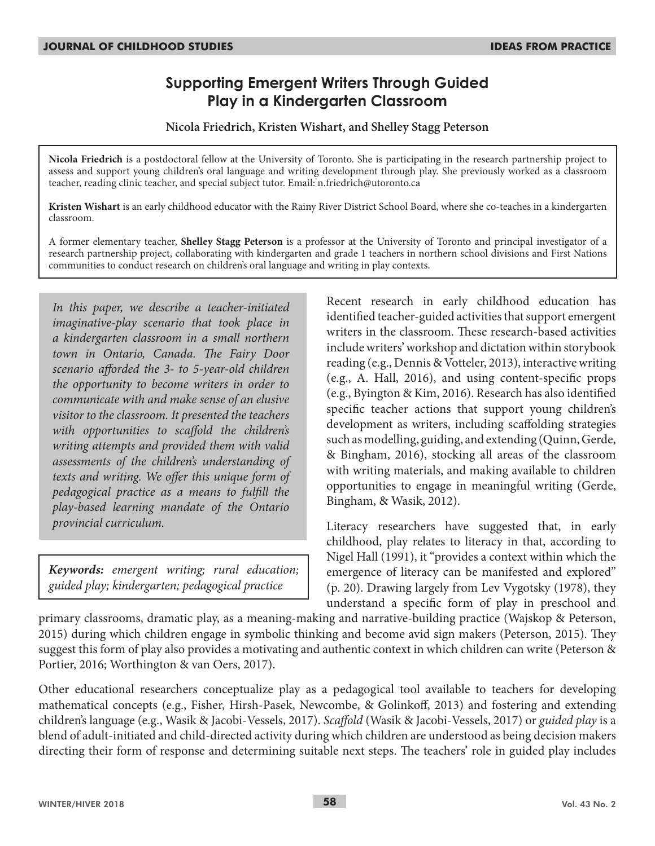# **Supporting Emergent Writers Through Guided Play in a Kindergarten Classroom**

**Nicola Friedrich, Kristen Wishart, and Shelley Stagg Peterson**

**Nicola Friedrich** is a postdoctoral fellow at the University of Toronto. She is participating in the research partnership project to assess and support young children's oral language and writing development through play. She previously worked as a classroom teacher, reading clinic teacher, and special subject tutor. Email: n.friedrich@utoronto.ca

**Kristen Wishart** is an early childhood educator with the Rainy River District School Board, where she co-teaches in a kindergarten classroom.

A former elementary teacher, **Shelley Stagg Peterson** is a professor at the University of Toronto and principal investigator of a research partnership project, collaborating with kindergarten and grade 1 teachers in northern school divisions and First Nations communities to conduct research on children's oral language and writing in play contexts.

*In this paper, we describe a teacher-initiated imaginative-play scenario that took place in a kindergarten classroom in a small northern town in Ontario, Canada. The Fairy Door scenario afforded the 3- to 5-year-old children the opportunity to become writers in order to communicate with and make sense of an elusive visitor to the classroom. It presented the teachers with opportunities to scaffold the children's writing attempts and provided them with valid assessments of the children's understanding of texts and writing. We offer this unique form of pedagogical practice as a means to fulfill the play-based learning mandate of the Ontario provincial curriculum.*

*Keywords: emergent writing; rural education; guided play; kindergarten; pedagogical practice*

Recent research in early childhood education has identified teacher-guided activities that support emergent writers in the classroom. These research-based activities include writers' workshop and dictation within storybook reading (e.g., Dennis & Votteler, 2013), interactive writing (e.g., A. Hall, 2016), and using content-specific props (e.g., Byington & Kim, 2016). Research has also identified specific teacher actions that support young children's development as writers, including scaffolding strategies such as modelling, guiding, and extending (Quinn, Gerde, & Bingham, 2016), stocking all areas of the classroom with writing materials, and making available to children opportunities to engage in meaningful writing (Gerde, Bingham, & Wasik, 2012).

Literacy researchers have suggested that, in early childhood, play relates to literacy in that, according to Nigel Hall (1991), it "provides a context within which the emergence of literacy can be manifested and explored" (p. 20). Drawing largely from Lev Vygotsky (1978), they understand a specific form of play in preschool and

primary classrooms, dramatic play, as a meaning-making and narrative-building practice (Wajskop & Peterson, 2015) during which children engage in symbolic thinking and become avid sign makers (Peterson, 2015). They suggest this form of play also provides a motivating and authentic context in which children can write (Peterson & Portier, 2016; Worthington & van Oers, 2017).

Other educational researchers conceptualize play as a pedagogical tool available to teachers for developing mathematical concepts (e.g., Fisher, Hirsh-Pasek, Newcombe, & Golinkoff, 2013) and fostering and extending children's language (e.g., Wasik & Jacobi-Vessels, 2017). *Scaffold* (Wasik & Jacobi-Vessels, 2017) or *guided play* is a blend of adult-initiated and child-directed activity during which children are understood as being decision makers directing their form of response and determining suitable next steps. The teachers' role in guided play includes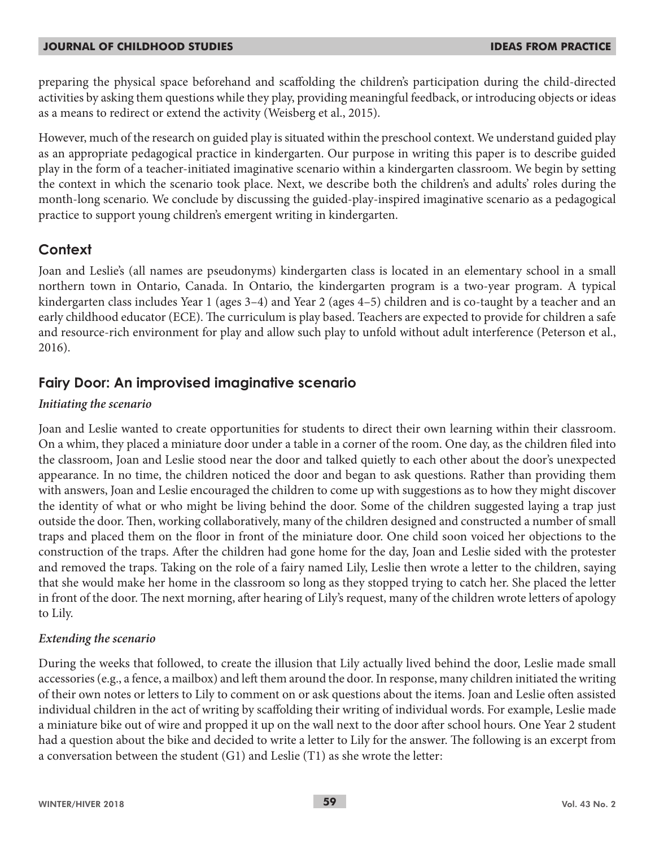#### **JOURNAL OF CHILDHOOD STUDIES IDEAS FROM PRACTICE**

preparing the physical space beforehand and scaffolding the children's participation during the child-directed activities by asking them questions while they play, providing meaningful feedback, or introducing objects or ideas as a means to redirect or extend the activity (Weisberg et al., 2015).

However, much of the research on guided play is situated within the preschool context. We understand guided play as an appropriate pedagogical practice in kindergarten. Our purpose in writing this paper is to describe guided play in the form of a teacher-initiated imaginative scenario within a kindergarten classroom. We begin by setting the context in which the scenario took place. Next, we describe both the children's and adults' roles during the month-long scenario. We conclude by discussing the guided-play-inspired imaginative scenario as a pedagogical practice to support young children's emergent writing in kindergarten.

# **Context**

Joan and Leslie's (all names are pseudonyms) kindergarten class is located in an elementary school in a small northern town in Ontario, Canada. In Ontario, the kindergarten program is a two-year program. A typical kindergarten class includes Year 1 (ages 3–4) and Year 2 (ages 4–5) children and is co-taught by a teacher and an early childhood educator (ECE). The curriculum is play based. Teachers are expected to provide for children a safe and resource-rich environment for play and allow such play to unfold without adult interference (Peterson et al., 2016).

## **Fairy Door: An improvised imaginative scenario**

### *Initiating the scenario*

Joan and Leslie wanted to create opportunities for students to direct their own learning within their classroom. On a whim, they placed a miniature door under a table in a corner of the room. One day, as the children filed into the classroom, Joan and Leslie stood near the door and talked quietly to each other about the door's unexpected appearance. In no time, the children noticed the door and began to ask questions. Rather than providing them with answers, Joan and Leslie encouraged the children to come up with suggestions as to how they might discover the identity of what or who might be living behind the door. Some of the children suggested laying a trap just outside the door. Then, working collaboratively, many of the children designed and constructed a number of small traps and placed them on the floor in front of the miniature door. One child soon voiced her objections to the construction of the traps. After the children had gone home for the day, Joan and Leslie sided with the protester and removed the traps. Taking on the role of a fairy named Lily, Leslie then wrote a letter to the children, saying that she would make her home in the classroom so long as they stopped trying to catch her. She placed the letter in front of the door. The next morning, after hearing of Lily's request, many of the children wrote letters of apology to Lily.

### *Extending the scenario*

During the weeks that followed, to create the illusion that Lily actually lived behind the door, Leslie made small accessories (e.g., a fence, a mailbox) and left them around the door. In response, many children initiated the writing of their own notes or letters to Lily to comment on or ask questions about the items. Joan and Leslie often assisted individual children in the act of writing by scaffolding their writing of individual words. For example, Leslie made a miniature bike out of wire and propped it up on the wall next to the door after school hours. One Year 2 student had a question about the bike and decided to write a letter to Lily for the answer. The following is an excerpt from a conversation between the student (G1) and Leslie (T1) as she wrote the letter: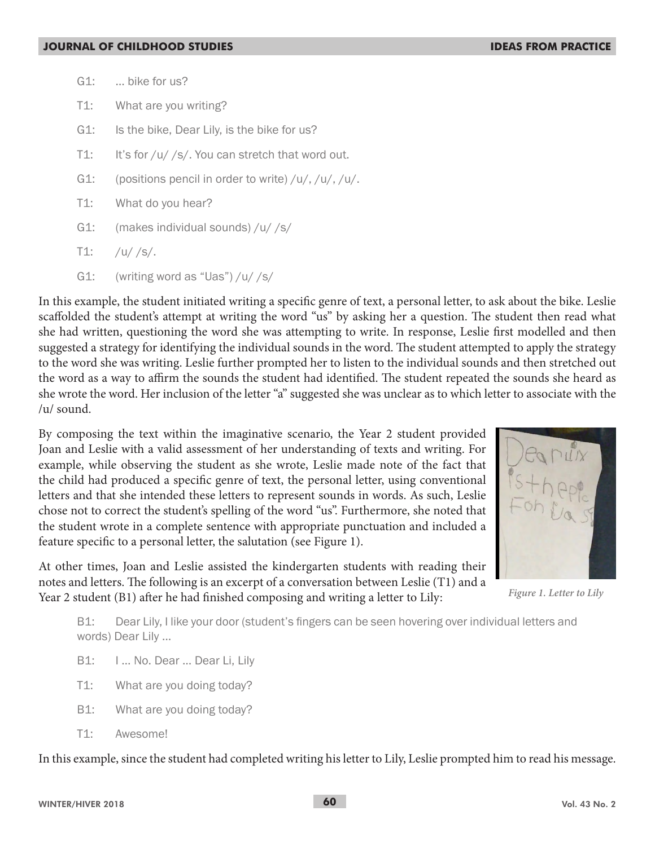- G1: … bike for us?
- T1: What are you writing?
- G1: Is the bike, Dear Lily, is the bike for us?
- T1: It's for /u/ /s/. You can stretch that word out.
- G1: (positions pencil in order to write)  $/u/$ ,  $/u/$ ,  $/u/$ .
- T1: What do you hear?
- G1: (makes individual sounds) /u/ /s/
- $T1:$  /u//s/.
- G1: (writing word as "Uas") /u/ /s/

In this example, the student initiated writing a specific genre of text, a personal letter, to ask about the bike. Leslie scaffolded the student's attempt at writing the word "us" by asking her a question. The student then read what she had written, questioning the word she was attempting to write. In response, Leslie first modelled and then suggested a strategy for identifying the individual sounds in the word. The student attempted to apply the strategy to the word she was writing. Leslie further prompted her to listen to the individual sounds and then stretched out the word as a way to affirm the sounds the student had identified. The student repeated the sounds she heard as she wrote the word. Her inclusion of the letter "a" suggested she was unclear as to which letter to associate with the /u/ sound.

By composing the text within the imaginative scenario, the Year 2 student provided Joan and Leslie with a valid assessment of her understanding of texts and writing. For example, while observing the student as she wrote, Leslie made note of the fact that the child had produced a specific genre of text, the personal letter, using conventional letters and that she intended these letters to represent sounds in words. As such, Leslie chose not to correct the student's spelling of the word "us". Furthermore, she noted that the student wrote in a complete sentence with appropriate punctuation and included a feature specific to a personal letter, the salutation (see Figure 1).

*Figure 1. Letter to Lily*

At other times, Joan and Leslie assisted the kindergarten students with reading their notes and letters. The following is an excerpt of a conversation between Leslie (T1) and a Year 2 student (B1) after he had finished composing and writing a letter to Lily:

B1: Dear Lily, I like your door (student's fingers can be seen hovering over individual letters and words) Dear Lily …

- B1: I ... No. Dear ... Dear Li, Lily
- T1: What are you doing today?
- B1: What are you doing today?
- T1: Awesome!

In this example, since the student had completed writing his letter to Lily, Leslie prompted him to read his message.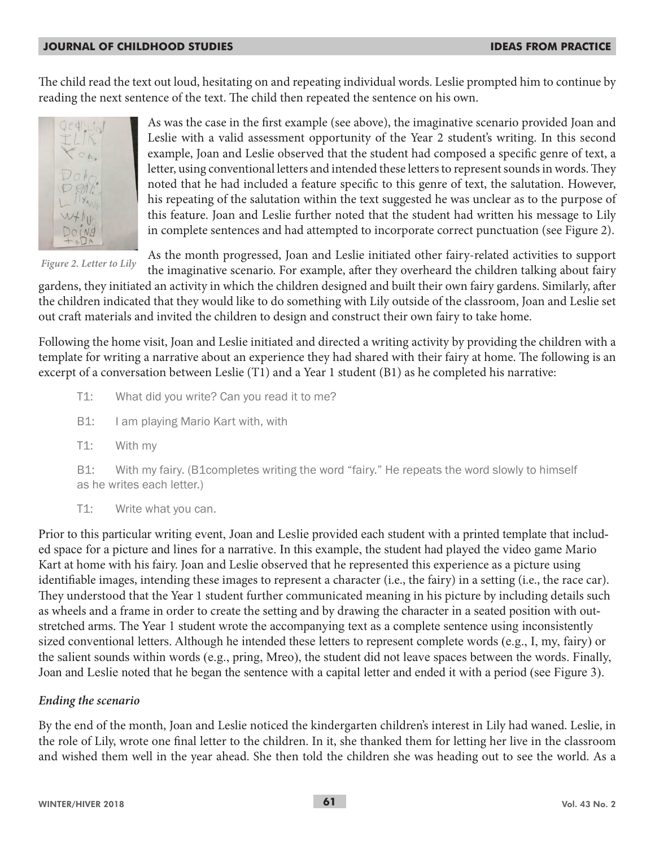#### **JOURNAL OF CHILDHOOD STUDIES IDEAS FROM PRACTICE**

The child read the text out loud, hesitating on and repeating individual words. Leslie prompted him to continue by reading the next sentence of the text. The child then repeated the sentence on his own.



As was the case in the first example (see above), the imaginative scenario provided Joan and Leslie with a valid assessment opportunity of the Year 2 student's writing. In this second example, Joan and Leslie observed that the student had composed a specific genre of text, a letter, using conventional letters and intended these letters to represent sounds in words. They noted that he had included a feature specific to this genre of text, the salutation. However, his repeating of the salutation within the text suggested he was unclear as to the purpose of this feature. Joan and Leslie further noted that the student had written his message to Lily in complete sentences and had attempted to incorporate correct punctuation (see Figure 2).

*Figure 2. Letter to Lily*

As the month progressed, Joan and Leslie initiated other fairy-related activities to support

the imaginative scenario. For example, after they overheard the children talking about fairy gardens, they initiated an activity in which the children designed and built their own fairy gardens. Similarly, after the children indicated that they would like to do something with Lily outside of the classroom, Joan and Leslie set out craft materials and invited the children to design and construct their own fairy to take home.

Following the home visit, Joan and Leslie initiated and directed a writing activity by providing the children with a template for writing a narrative about an experience they had shared with their fairy at home. The following is an excerpt of a conversation between Leslie (T1) and a Year 1 student (B1) as he completed his narrative:

- T1: What did you write? Can you read it to me?
- B1: I am playing Mario Kart with, with
- T1: With my

B1: With my fairy. (B1completes writing the word "fairy." He repeats the word slowly to himself as he writes each letter.)

T1: Write what you can.

Prior to this particular writing event, Joan and Leslie provided each student with a printed template that included space for a picture and lines for a narrative. In this example, the student had played the video game Mario Kart at home with his fairy. Joan and Leslie observed that he represented this experience as a picture using identifiable images, intending these images to represent a character (i.e., the fairy) in a setting (i.e., the race car). They understood that the Year 1 student further communicated meaning in his picture by including details such as wheels and a frame in order to create the setting and by drawing the character in a seated position with outstretched arms. The Year 1 student wrote the accompanying text as a complete sentence using inconsistently sized conventional letters. Although he intended these letters to represent complete words (e.g., I, my, fairy) or the salient sounds within words (e.g., pring, Mreo), the student did not leave spaces between the words. Finally, Joan and Leslie noted that he began the sentence with a capital letter and ended it with a period (see Figure 3).

#### *Ending the scenario*

By the end of the month, Joan and Leslie noticed the kindergarten children's interest in Lily had waned. Leslie, in the role of Lily, wrote one final letter to the children. In it, she thanked them for letting her live in the classroom and wished them well in the year ahead. She then told the children she was heading out to see the world. As a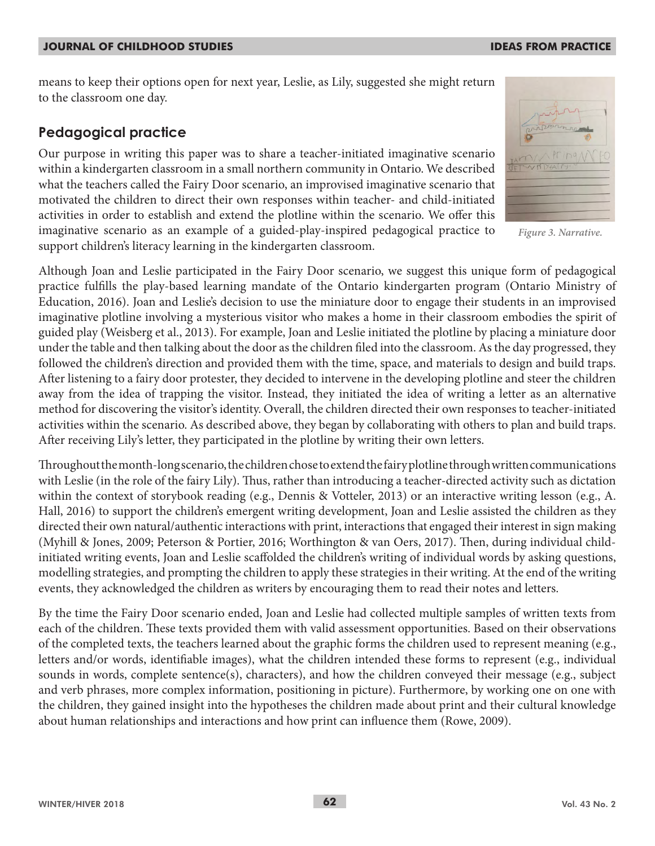#### **JOURNAL OF CHILDHOOD STUDIES IDEAS FROM PRACTICE**

means to keep their options open for next year, Leslie, as Lily, suggested she might return to the classroom one day.

## **Pedagogical practice**

Our purpose in writing this paper was to share a teacher-initiated imaginative scenario within a kindergarten classroom in a small northern community in Ontario. We described what the teachers called the Fairy Door scenario, an improvised imaginative scenario that motivated the children to direct their own responses within teacher- and child-initiated activities in order to establish and extend the plotline within the scenario. We offer this imaginative scenario as an example of a guided-play-inspired pedagogical practice to support children's literacy learning in the kindergarten classroom.

 $PT/DA$ 

*Figure 3. Narrative.*

Although Joan and Leslie participated in the Fairy Door scenario, we suggest this unique form of pedagogical practice fulfills the play-based learning mandate of the Ontario kindergarten program (Ontario Ministry of Education, 2016). Joan and Leslie's decision to use the miniature door to engage their students in an improvised imaginative plotline involving a mysterious visitor who makes a home in their classroom embodies the spirit of guided play (Weisberg et al., 2013). For example, Joan and Leslie initiated the plotline by placing a miniature door under the table and then talking about the door as the children filed into the classroom. As the day progressed, they followed the children's direction and provided them with the time, space, and materials to design and build traps. After listening to a fairy door protester, they decided to intervene in the developing plotline and steer the children away from the idea of trapping the visitor. Instead, they initiated the idea of writing a letter as an alternative method for discovering the visitor's identity. Overall, the children directed their own responses to teacher-initiated activities within the scenario. As described above, they began by collaborating with others to plan and build traps. After receiving Lily's letter, they participated in the plotline by writing their own letters.

Throughout the month-long scenario, the children chose to extend the fairy plotline through written communications with Leslie (in the role of the fairy Lily). Thus, rather than introducing a teacher-directed activity such as dictation within the context of storybook reading (e.g., Dennis & Votteler, 2013) or an interactive writing lesson (e.g., A. Hall, 2016) to support the children's emergent writing development, Joan and Leslie assisted the children as they directed their own natural/authentic interactions with print, interactions that engaged their interest in sign making (Myhill & Jones, 2009; Peterson & Portier, 2016; Worthington & van Oers, 2017). Then, during individual childinitiated writing events, Joan and Leslie scaffolded the children's writing of individual words by asking questions, modelling strategies, and prompting the children to apply these strategies in their writing. At the end of the writing events, they acknowledged the children as writers by encouraging them to read their notes and letters.

By the time the Fairy Door scenario ended, Joan and Leslie had collected multiple samples of written texts from each of the children. These texts provided them with valid assessment opportunities. Based on their observations of the completed texts, the teachers learned about the graphic forms the children used to represent meaning (e.g., letters and/or words, identifiable images), what the children intended these forms to represent (e.g., individual sounds in words, complete sentence(s), characters), and how the children conveyed their message (e.g., subject and verb phrases, more complex information, positioning in picture). Furthermore, by working one on one with the children, they gained insight into the hypotheses the children made about print and their cultural knowledge about human relationships and interactions and how print can influence them (Rowe, 2009).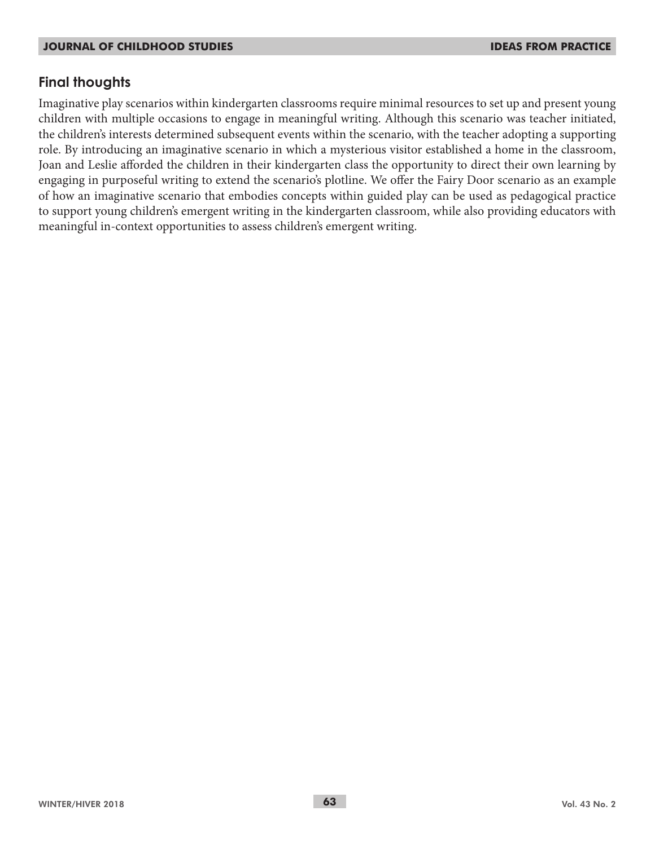# **Final thoughts**

Imaginative play scenarios within kindergarten classrooms require minimal resources to set up and present young children with multiple occasions to engage in meaningful writing. Although this scenario was teacher initiated, the children's interests determined subsequent events within the scenario, with the teacher adopting a supporting role. By introducing an imaginative scenario in which a mysterious visitor established a home in the classroom, Joan and Leslie afforded the children in their kindergarten class the opportunity to direct their own learning by engaging in purposeful writing to extend the scenario's plotline. We offer the Fairy Door scenario as an example of how an imaginative scenario that embodies concepts within guided play can be used as pedagogical practice to support young children's emergent writing in the kindergarten classroom, while also providing educators with meaningful in-context opportunities to assess children's emergent writing.